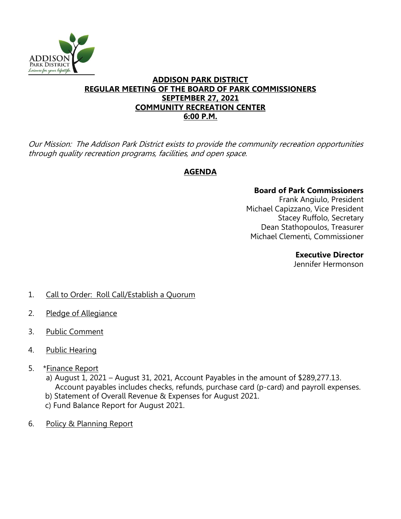

## **ADDISON PARK DISTRICT REGULAR MEETING OF THE BOARD OF PARK COMMISSIONERS SEPTEMBER 27, 2021 COMMUNITY RECREATION CENTER 6:00 P.M.**

Our Mission: The Addison Park District exists to provide the community recreation opportunities through quality recreation programs, facilities, and open space.

## **AGENDA**

## **Board of Park Commissioners**

Frank Angiulo, President Michael Capizzano, Vice President Stacey Ruffolo, Secretary Dean Stathopoulos, Treasurer Michael Clementi, Commissioner

**Executive Director**

Jennifer Hermonson

- 1. Call to Order: Roll Call/Establish a Quorum
- 2. Pledge of Allegiance
- 3. Public Comment
- 4. Public Hearing
- 5. \*Finance Report
	- a) August 1, 2021 August 31, 2021, Account Payables in the amount of \$289,277.13. Account payables includes checks, refunds, purchase card (p-card) and payroll expenses. b) Statement of Overall Revenue & Expenses for August 2021.
	- c) Fund Balance Report for August 2021.
- 6. Policy & Planning Report